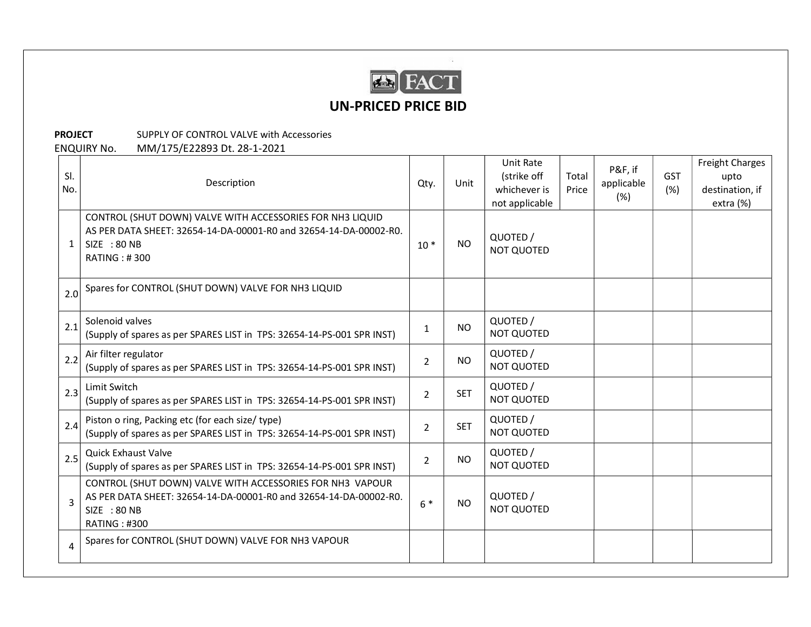

## UN-PRICED PRICE BID

**PROJECT** SUPPLY OF CONTROL VALVE with Accessories ENQUIRY No. MM/175/E22893 Dt. 28-1-2021

| SI.<br>No.     | Description                                                                                                                                                           | Qty.           | Unit       | <b>Unit Rate</b><br>(strike off<br>Total<br>whichever is<br>Price<br>not applicable |  | P&F, if<br>applicable<br>(%) | GST<br>(%) | Freight Charges<br>upto<br>destination, if<br>extra (%) |
|----------------|-----------------------------------------------------------------------------------------------------------------------------------------------------------------------|----------------|------------|-------------------------------------------------------------------------------------|--|------------------------------|------------|---------------------------------------------------------|
| 1              | CONTROL (SHUT DOWN) VALVE WITH ACCESSORIES FOR NH3 LIQUID<br>AS PER DATA SHEET: 32654-14-DA-00001-R0 and 32654-14-DA-00002-R0.<br>SIZE : 80 NB<br><b>RATING: #300</b> | $10*$          | <b>NO</b>  | QUOTED /<br><b>NOT QUOTED</b>                                                       |  |                              |            |                                                         |
| 2.0            | Spares for CONTROL (SHUT DOWN) VALVE FOR NH3 LIQUID                                                                                                                   |                |            |                                                                                     |  |                              |            |                                                         |
| 2.1            | Solenoid valves<br>(Supply of spares as per SPARES LIST in TPS: 32654-14-PS-001 SPR INST)                                                                             | 1              | <b>NO</b>  | QUOTED /<br><b>NOT QUOTED</b>                                                       |  |                              |            |                                                         |
| 2.2            | Air filter regulator<br>(Supply of spares as per SPARES LIST in TPS: 32654-14-PS-001 SPR INST)                                                                        | $\overline{2}$ | <b>NO</b>  | QUOTED /<br>NOT QUOTED                                                              |  |                              |            |                                                         |
| 2.3            | Limit Switch<br>(Supply of spares as per SPARES LIST in TPS: 32654-14-PS-001 SPR INST)                                                                                | $\overline{2}$ | <b>SET</b> | QUOTED /<br>NOT QUOTED                                                              |  |                              |            |                                                         |
| 2.4            | Piston o ring, Packing etc (for each size/ type)<br>(Supply of spares as per SPARES LIST in TPS: 32654-14-PS-001 SPR INST)                                            | $\overline{2}$ | <b>SET</b> | QUOTED /<br>NOT QUOTED                                                              |  |                              |            |                                                         |
| 2.5            | <b>Quick Exhaust Valve</b><br>(Supply of spares as per SPARES LIST in TPS: 32654-14-PS-001 SPR INST)                                                                  | $\overline{2}$ | <b>NO</b>  | QUOTED /<br><b>NOT QUOTED</b>                                                       |  |                              |            |                                                         |
|                | CONTROL (SHUT DOWN) VALVE WITH ACCESSORIES FOR NH3 VAPOUR<br>AS PER DATA SHEET: 32654-14-DA-00001-R0 and 32654-14-DA-00002-R0.<br>SIZE : 80 NB<br><b>RATING: #300</b> | $6*$           | <b>NO</b>  | QUOTED /<br><b>NOT QUOTED</b>                                                       |  |                              |            |                                                         |
| $\overline{4}$ | Spares for CONTROL (SHUT DOWN) VALVE FOR NH3 VAPOUR                                                                                                                   |                |            |                                                                                     |  |                              |            |                                                         |